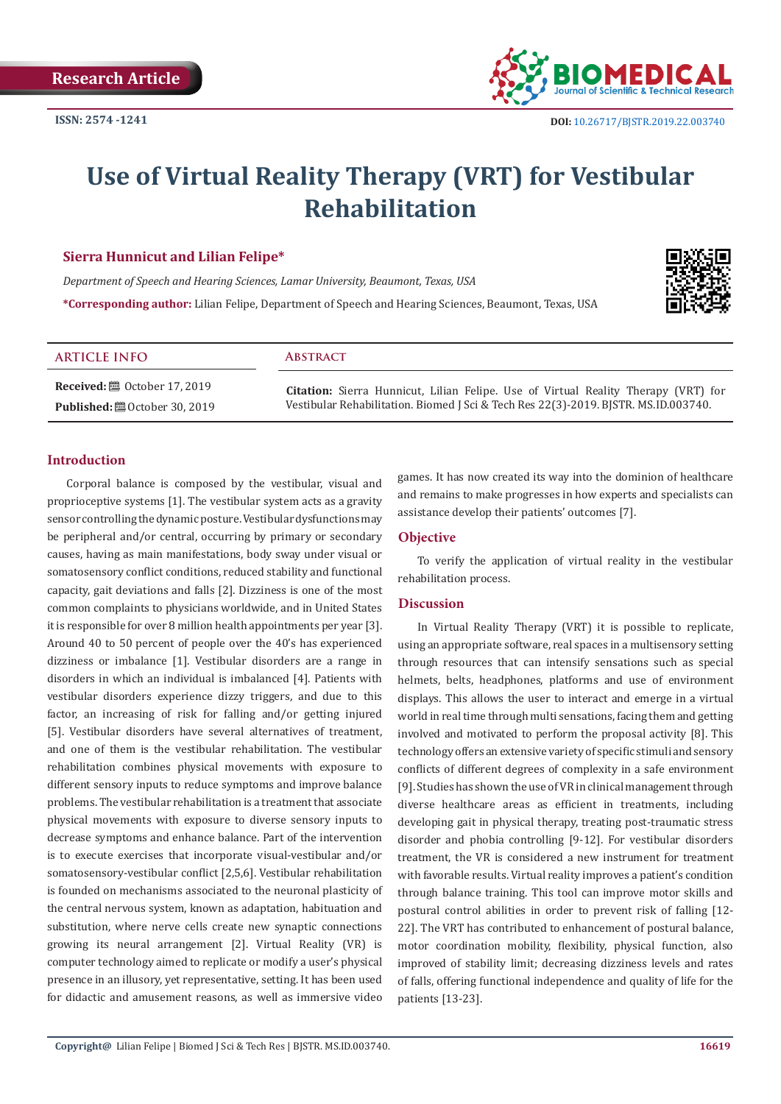

# **Use of Virtual Reality Therapy (VRT) for Vestibular Rehabilitation**

### **Sierra Hunnicut and Lilian Felipe\***

*Department of Speech and Hearing Sciences, Lamar University, Beaumont, Texas, USA* **\*Corresponding author:** Lilian Felipe, Department of Speech and Hearing Sciences, Beaumont, Texas, USA



#### **ARTICLE INFO Abstract**

**Received:** ■ October 17, 2019 **Published:** © October 30, 2019

**Citation:** Sierra Hunnicut, Lilian Felipe. Use of Virtual Reality Therapy (VRT) for Vestibular Rehabilitation. Biomed J Sci & Tech Res 22(3)-2019. BJSTR. MS.ID.003740.

### **Introduction**

Corporal balance is composed by the vestibular, visual and proprioceptive systems [1]. The vestibular system acts as a gravity sensor controlling the dynamic posture. Vestibular dysfunctions may be peripheral and/or central, occurring by primary or secondary causes, having as main manifestations, body sway under visual or somatosensory conflict conditions, reduced stability and functional capacity, gait deviations and falls [2]. Dizziness is one of the most common complaints to physicians worldwide, and in United States it is responsible for over 8 million health appointments per year [3]. Around 40 to 50 percent of people over the 40's has experienced dizziness or imbalance [1]. Vestibular disorders are a range in disorders in which an individual is imbalanced [4]. Patients with vestibular disorders experience dizzy triggers, and due to this factor, an increasing of risk for falling and/or getting injured [5]. Vestibular disorders have several alternatives of treatment, and one of them is the vestibular rehabilitation. The vestibular rehabilitation combines physical movements with exposure to different sensory inputs to reduce symptoms and improve balance problems. The vestibular rehabilitation is a treatment that associate physical movements with exposure to diverse sensory inputs to decrease symptoms and enhance balance. Part of the intervention is to execute exercises that incorporate visual-vestibular and/or somatosensory-vestibular conflict [2,5,6]. Vestibular rehabilitation is founded on mechanisms associated to the neuronal plasticity of the central nervous system, known as adaptation, habituation and substitution, where nerve cells create new synaptic connections growing its neural arrangement [2]. Virtual Reality (VR) is computer technology aimed to replicate or modify a user's physical presence in an illusory, yet representative, setting. It has been used for didactic and amusement reasons, as well as immersive video

games. It has now created its way into the dominion of healthcare and remains to make progresses in how experts and specialists can assistance develop their patients' outcomes [7].

#### **Objective**

To verify the application of virtual reality in the vestibular rehabilitation process.

#### **Discussion**

In Virtual Reality Therapy (VRT) it is possible to replicate, using an appropriate software, real spaces in a multisensory setting through resources that can intensify sensations such as special helmets, belts, headphones, platforms and use of environment displays. This allows the user to interact and emerge in a virtual world in real time through multi sensations, facing them and getting involved and motivated to perform the proposal activity [8]. This technology offers an extensive variety of specific stimuli and sensory conflicts of different degrees of complexity in a safe environment [9]. Studies has shown the use of VR in clinical management through diverse healthcare areas as efficient in treatments, including developing gait in physical therapy, treating post-traumatic stress disorder and phobia controlling [9-12]. For vestibular disorders treatment, the VR is considered a new instrument for treatment with favorable results. Virtual reality improves a patient's condition through balance training. This tool can improve motor skills and postural control abilities in order to prevent risk of falling [12- 22]. The VRT has contributed to enhancement of postural balance, motor coordination mobility, flexibility, physical function, also improved of stability limit; decreasing dizziness levels and rates of falls, offering functional independence and quality of life for the patients [13-23].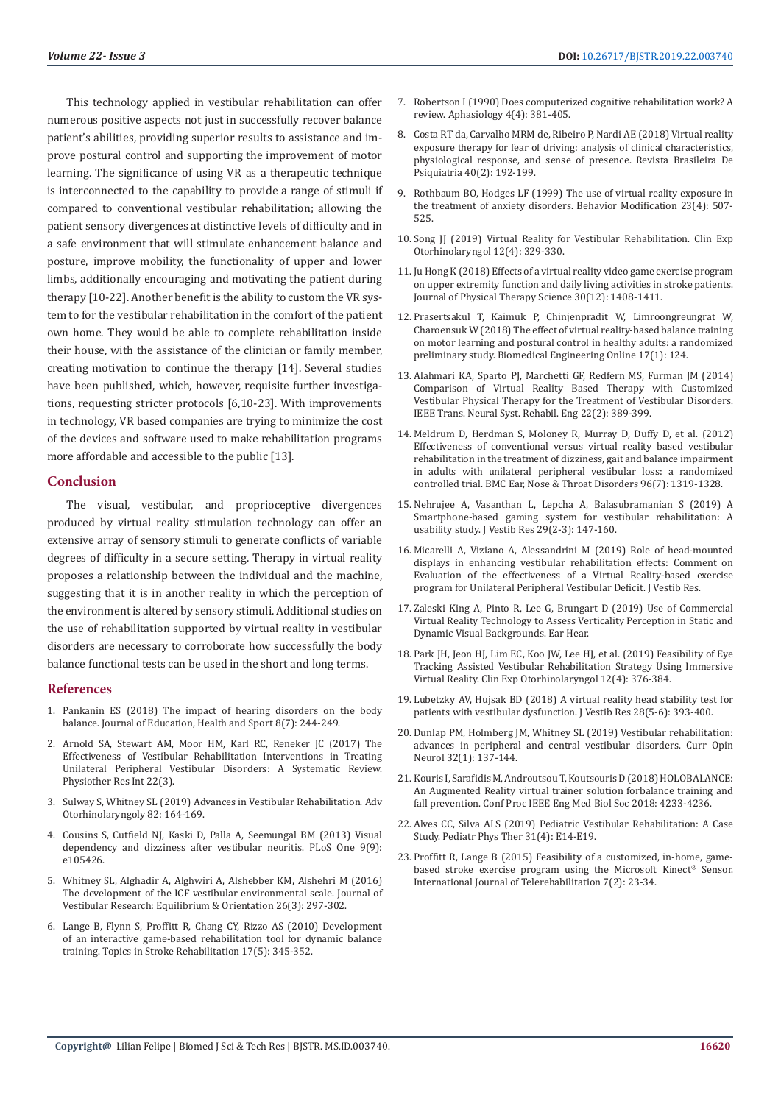This technology applied in vestibular rehabilitation can offer numerous positive aspects not just in successfully recover balance patient's abilities, providing superior results to assistance and improve postural control and supporting the improvement of motor learning. The significance of using VR as a therapeutic technique is interconnected to the capability to provide a range of stimuli if compared to conventional vestibular rehabilitation; allowing the patient sensory divergences at distinctive levels of difficulty and in a safe environment that will stimulate enhancement balance and posture, improve mobility, the functionality of upper and lower limbs, additionally encouraging and motivating the patient during therapy [10-22]. Another benefit is the ability to custom the VR system to for the vestibular rehabilitation in the comfort of the patient own home. They would be able to complete rehabilitation inside their house, with the assistance of the clinician or family member, creating motivation to continue the therapy [14]. Several studies have been published, which, however, requisite further investigations, requesting stricter protocols [6,10-23]. With improvements in technology, VR based companies are trying to minimize the cost of the devices and software used to make rehabilitation programs more affordable and accessible to the public [13].

#### **Conclusion**

The visual, vestibular, and proprioceptive divergences produced by virtual reality stimulation technology can offer an extensive array of sensory stimuli to generate conflicts of variable degrees of difficulty in a secure setting. Therapy in virtual reality proposes a relationship between the individual and the machine, suggesting that it is in another reality in which the perception of the environment is altered by sensory stimuli. Additional studies on the use of rehabilitation supported by virtual reality in vestibular disorders are necessary to corroborate how successfully the body balance functional tests can be used in the short and long terms.

#### **References**

- 1. [Pankanin ES \(2018\) The impact of hearing disorders on the body](http://www.ojs.ukw.edu.pl/index.php/johs/article/view/5634)  [balance. Journal of Education, Health and Sport 8\(7\): 244-249.](http://www.ojs.ukw.edu.pl/index.php/johs/article/view/5634)
- 2. [Arnold SA, Stewart AM, Moor HM, Karl RC, Reneker JC \(2017\) The](https://www.ncbi.nlm.nih.gov/pubmed/26111348)  [Effectiveness of Vestibular Rehabilitation Interventions in Treating](https://www.ncbi.nlm.nih.gov/pubmed/26111348)  [Unilateral Peripheral Vestibular Disorders: A Systematic Review.](https://www.ncbi.nlm.nih.gov/pubmed/26111348)  [Physiother Res Int 22\(3\).](https://www.ncbi.nlm.nih.gov/pubmed/26111348)
- 3. [Sulway S, Whitney SL \(2019\) Advances in Vestibular Rehabilitation. Adv](https://www.karger.com/Article/Abstract/490285)  [Otorhinolaryngoly 82: 164-169.](https://www.karger.com/Article/Abstract/490285)
- 4. [Cousins S, Cutfield NJ, Kaski D, Palla A, Seemungal BM \(2013\) Visual](https://www.ncbi.nlm.nih.gov/pmc/articles/PMC4169430/)  [dependency and dizziness after vestibular neuritis. PLoS One 9\(9\):](https://www.ncbi.nlm.nih.gov/pmc/articles/PMC4169430/)  [e105426.](https://www.ncbi.nlm.nih.gov/pmc/articles/PMC4169430/)
- 5. [Whitney SL, Alghadir A, Alghwiri A, Alshebber KM, Alshehri M \(2016\)](https://www.ncbi.nlm.nih.gov/pubmed/27392833)  [The development of the ICF vestibular environmental scale. Journal of](https://www.ncbi.nlm.nih.gov/pubmed/27392833)  [Vestibular Research: Equilibrium & Orientation 26\(3\): 297-302.](https://www.ncbi.nlm.nih.gov/pubmed/27392833)
- 6. [Lange B, Flynn S, Proffitt R, Chang CY, Rizzo AS \(2010\) Development](https://www.ncbi.nlm.nih.gov/pubmed/21131259)  [of an interactive game-based rehabilitation tool for dynamic balance](https://www.ncbi.nlm.nih.gov/pubmed/21131259)  [training. Topics in Stroke Rehabilitation 17\(5\): 345-352.](https://www.ncbi.nlm.nih.gov/pubmed/21131259)
- 7. [Robertson I \(1990\) Does computerized cognitive rehabilitation work? A](https://www.tandfonline.com/doi/abs/10.1080/02687039008249090?journalCode=paph20) [review. Aphasiology 4\(4\): 381-405.](https://www.tandfonline.com/doi/abs/10.1080/02687039008249090?journalCode=paph20)
- 8. [Costa RT da, Carvalho MRM de, Ribeiro P, Nardi AE \(2018\) Virtual reality](https://www.ncbi.nlm.nih.gov/pubmed/29451586) [exposure therapy for fear of driving: analysis of clinical characteristics,](https://www.ncbi.nlm.nih.gov/pubmed/29451586) [physiological response, and sense of presence. Revista Brasileira De](https://www.ncbi.nlm.nih.gov/pubmed/29451586) [Psiquiatria 40\(2\): 192-199.](https://www.ncbi.nlm.nih.gov/pubmed/29451586)
- 9. [Rothbaum BO, Hodges LF \(1999\) The use of virtual reality exposure in](https://www.ncbi.nlm.nih.gov/pubmed/10533438) [the treatment of anxiety disorders. Behavior Modification 23\(4\): 507-](https://www.ncbi.nlm.nih.gov/pubmed/10533438) [525.](https://www.ncbi.nlm.nih.gov/pubmed/10533438)
- 10. Song JJ (2019) Virtual Reality for Vestibular Rehabilitation. Clin Exp Otorhinolaryngol 12(4): 329-330.
- 11. [Ju Hong K \(2018\) Effects of a virtual reality video game exercise program](https://www.ncbi.nlm.nih.gov/pmc/articles/PMC6279702/) [on upper extremity function and daily living activities in stroke patients.](https://www.ncbi.nlm.nih.gov/pmc/articles/PMC6279702/) [Journal of Physical Therapy Science 30\(12\): 1408-1411.](https://www.ncbi.nlm.nih.gov/pmc/articles/PMC6279702/)
- 12. [Prasertsakul T, Kaimuk P, Chinjenpradit W, Limroongreungrat W,](https://www.ncbi.nlm.nih.gov/pubmed/30227884) [Charoensuk W \(2018\) The effect of virtual reality-based balance training](https://www.ncbi.nlm.nih.gov/pubmed/30227884) [on motor learning and postural control in healthy adults: a randomized](https://www.ncbi.nlm.nih.gov/pubmed/30227884) [preliminary study. Biomedical Engineering Online 17\(1\): 124.](https://www.ncbi.nlm.nih.gov/pubmed/30227884)
- 13. [Alahmari KA, Sparto PJ, Marchetti GF, Redfern MS, Furman JM \(2014\)](https://www.ncbi.nlm.nih.gov/pubmed/24608691) [Comparison of Virtual Reality Based Therapy with Customized](https://www.ncbi.nlm.nih.gov/pubmed/24608691) [Vestibular Physical Therapy for the Treatment of Vestibular Disorders.](https://www.ncbi.nlm.nih.gov/pubmed/24608691) [IEEE Trans. Neural Syst. Rehabil. Eng 22\(2\): 389-399.](https://www.ncbi.nlm.nih.gov/pubmed/24608691)
- 14. [Meldrum D, Herdman S, Moloney R, Murray D, Duffy D, et al. \(2012\)](https://www.ncbi.nlm.nih.gov/pubmed/25842051) [Effectiveness of conventional versus virtual reality based vestibular](https://www.ncbi.nlm.nih.gov/pubmed/25842051) [rehabilitation in the treatment of dizziness, gait and balance impairment](https://www.ncbi.nlm.nih.gov/pubmed/25842051) [in adults with unilateral peripheral vestibular loss: a randomized](https://www.ncbi.nlm.nih.gov/pubmed/25842051) [controlled trial. BMC Ear, Nose & Throat Disorders 96\(7\): 1319-1328.](https://www.ncbi.nlm.nih.gov/pubmed/25842051)
- 15. [Nehrujee A, Vasanthan L, Lepcha A, Balasubramanian S \(2019\) A](https://www.ncbi.nlm.nih.gov/pubmed/31177254) [Smartphone-based gaming system for vestibular rehabilitation: A](https://www.ncbi.nlm.nih.gov/pubmed/31177254) [usability study. J Vestib Res 29\(2-3\): 147-160.](https://www.ncbi.nlm.nih.gov/pubmed/31177254)
- 16. [Micarelli A, Viziano A, Alessandrini M \(2019\) Role of head-mounted](https://www.ncbi.nlm.nih.gov/pubmed/31227678) [displays in enhancing vestibular rehabilitation effects: Comment on](https://www.ncbi.nlm.nih.gov/pubmed/31227678) [Evaluation of the effectiveness of a Virtual Reality-based exercise](https://www.ncbi.nlm.nih.gov/pubmed/31227678) [program for Unilateral Peripheral Vestibular Deficit. J Vestib Res.](https://www.ncbi.nlm.nih.gov/pubmed/31227678)
- 17. [Zaleski King A, Pinto R, Lee G, Brungart D \(2019\) Use of Commercial](https://www.ncbi.nlm.nih.gov/pubmed/31107362) [Virtual Reality Technology to Assess Verticality Perception in Static and](https://www.ncbi.nlm.nih.gov/pubmed/31107362) [Dynamic Visual Backgrounds. Ear Hear.](https://www.ncbi.nlm.nih.gov/pubmed/31107362)
- 18. [Park JH, Jeon HJ, Lim EC, Koo JW, Lee HJ, et al. \(2019\) Feasibility of Eye](https://www.ncbi.nlm.nih.gov/pubmed/31066247) [Tracking Assisted Vestibular Rehabilitation Strategy Using Immersive](https://www.ncbi.nlm.nih.gov/pubmed/31066247) [Virtual Reality. Clin Exp Otorhinolaryngol 12\(4\): 376-384.](https://www.ncbi.nlm.nih.gov/pubmed/31066247)
- 19. [Lubetzky AV, Hujsak BD \(2018\) A virtual reality head stability test for](https://www.ncbi.nlm.nih.gov/pubmed/30856135) [patients with vestibular dysfunction. J Vestib Res 28\(5-6\): 393-400.](https://www.ncbi.nlm.nih.gov/pubmed/30856135)
- 20. [Dunlap PM, Holmberg JM, Whitney SL \(2019\) Vestibular rehabilitation:](https://www.ncbi.nlm.nih.gov/pubmed/30461465) [advances in peripheral and central vestibular disorders. Curr Opin](https://www.ncbi.nlm.nih.gov/pubmed/30461465) [Neurol 32\(1\): 137-144.](https://www.ncbi.nlm.nih.gov/pubmed/30461465)
- 21. [Kouris I, Sarafidis M, Androutsou T, Koutsouris D \(2018\) HOLOBALANCE:](https://www.ncbi.nlm.nih.gov/pubmed/30441288) [An Augmented Reality virtual trainer solution forbalance training and](https://www.ncbi.nlm.nih.gov/pubmed/30441288) [fall prevention. Conf Proc IEEE Eng Med Biol Soc 2018: 4233-4236.](https://www.ncbi.nlm.nih.gov/pubmed/30441288)
- 22. [Alves CC, Silva ALS \(2019\) Pediatric Vestibular Rehabilitation: A Case](https://www.ncbi.nlm.nih.gov/pubmed/31568389) [Study. Pediatr Phys Ther 31\(4\): E14-E19.](https://www.ncbi.nlm.nih.gov/pubmed/31568389)
- 23. [Proffitt R, Lange B \(2015\) Feasibility of a customized, in-home, game](https://www.ncbi.nlm.nih.gov/pubmed/27563384)[based stroke exercise program using the Microsoft Kinect](https://www.ncbi.nlm.nih.gov/pubmed/27563384)® Sensor. [International Journal of Telerehabilitation 7\(2\): 23-34.](https://www.ncbi.nlm.nih.gov/pubmed/27563384)